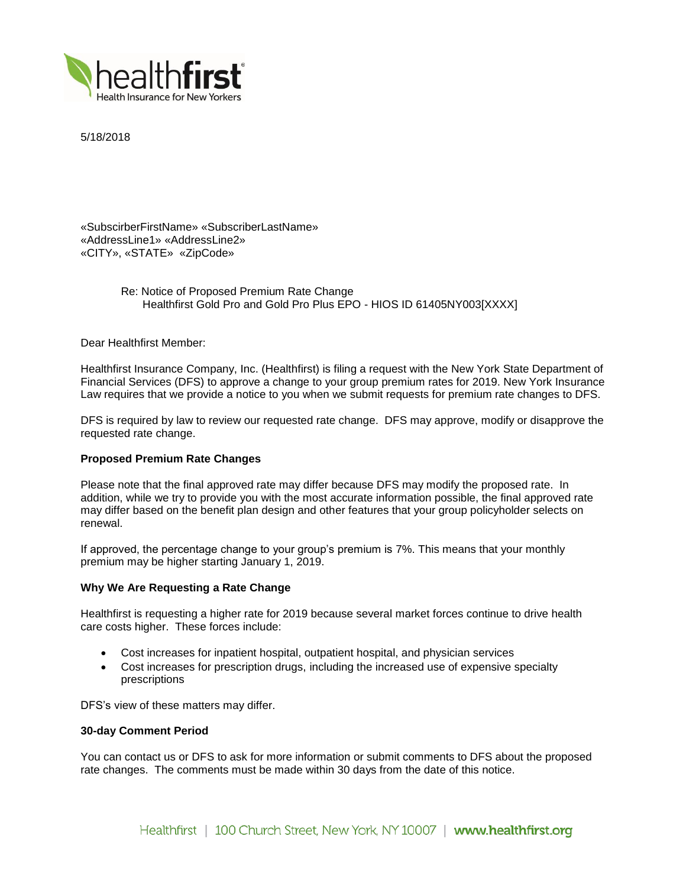

5/18/2018

«SubscirberFirstName» «SubscriberLastName» «AddressLine1» «AddressLine2» «CITY», «STATE» «ZipCode»

> Re: Notice of Proposed Premium Rate Change Healthfirst Gold Pro and Gold Pro Plus EPO - HIOS ID 61405NY003[XXXX]

Dear Healthfirst Member:

Healthfirst Insurance Company, Inc. (Healthfirst) is filing a request with the New York State Department of Financial Services (DFS) to approve a change to your group premium rates for 2019. New York Insurance Law requires that we provide a notice to you when we submit requests for premium rate changes to DFS.

DFS is required by law to review our requested rate change. DFS may approve, modify or disapprove the requested rate change.

# **Proposed Premium Rate Changes**

Please note that the final approved rate may differ because DFS may modify the proposed rate. In addition, while we try to provide you with the most accurate information possible, the final approved rate may differ based on the benefit plan design and other features that your group policyholder selects on renewal.

If approved, the percentage change to your group's premium is 7%. This means that your monthly premium may be higher starting January 1, 2019.

### **Why We Are Requesting a Rate Change**

Healthfirst is requesting a higher rate for 2019 because several market forces continue to drive health care costs higher. These forces include:

- Cost increases for inpatient hospital, outpatient hospital, and physician services
- Cost increases for prescription drugs, including the increased use of expensive specialty prescriptions

DFS's view of these matters may differ.

### **30-day Comment Period**

You can contact us or DFS to ask for more information or submit comments to DFS about the proposed rate changes. The comments must be made within 30 days from the date of this notice.